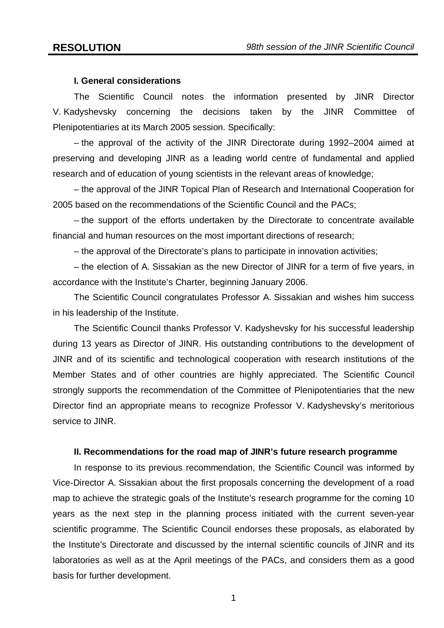# **I. General considerations**

The Scientific Council notes the information presented by JINR Director V. Kadyshevsky concerning the decisions taken by the JINR Committee of Plenipotentiaries at its March 2005 session. Specifically:

– the approval of the activity of the JINR Directorate during 1992–2004 aimed at preserving and developing JINR as a leading world centre of fundamental and applied research and of education of young scientists in the relevant areas of knowledge;

– the approval of the JINR Topical Plan of Research and International Cooperation for 2005 based on the recommendations of the Scientific Council and the PACs;

– the support of the efforts undertaken by the Directorate to concentrate available financial and human resources on the most important directions of research;

– the approval of the Directorate's plans to participate in innovation activities;

– the election of A. Sissakian as the new Director of JINR for a term of five years, in accordance with the Institute's Charter, beginning January 2006.

The Scientific Council congratulates Professor A. Sissakian and wishes him success in his leadership of the Institute.

The Scientific Council thanks Professor V. Kadyshevsky for his successful leadership during 13 years as Director of JINR. His outstanding contributions to the development of JINR and of its scientific and technological cooperation with research institutions of the Member States and of other countries are highly appreciated. The Scientific Council strongly supports the recommendation of the Committee of Plenipotentiaries that the new Director find an appropriate means to recognize Professor V. Kadyshevsky's meritorious service to JINR.

#### **II. Recommendations for the road map of JINR's future research programme**

In response to its previous recommendation, the Scientific Council was informed by Vice-Director A. Sissakian about the first proposals concerning the development of a road map to achieve the strategic goals of the Institute's research programme for the coming 10 years as the next step in the planning process initiated with the current seven-year scientific programme. The Scientific Council endorses these proposals, as elaborated by the Institute's Directorate and discussed by the internal scientific councils of JINR and its laboratories as well as at the April meetings of the PACs, and considers them as a good basis for further development.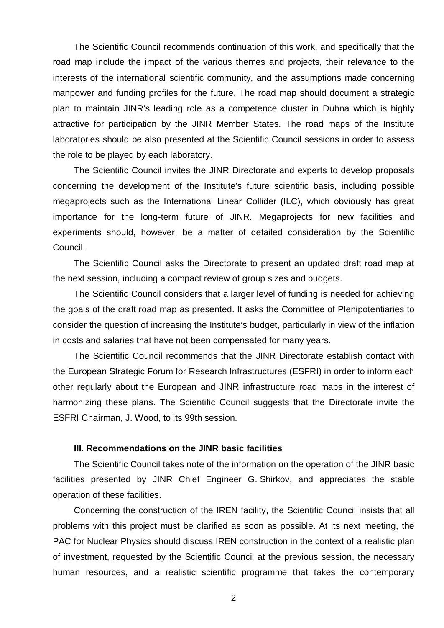The Scientific Council recommends continuation of this work, and specifically that the road map include the impact of the various themes and projects, their relevance to the interests of the international scientific community, and the assumptions made concerning manpower and funding profiles for the future. The road map should document a strategic plan to maintain JINR's leading role as a competence cluster in Dubna which is highly attractive for participation by the JINR Member States. The road maps of the Institute laboratories should be also presented at the Scientific Council sessions in order to assess the role to be played by each laboratory.

The Scientific Council invites the JINR Directorate and experts to develop proposals concerning the development of the Institute's future scientific basis, including possible megaprojects such as the International Linear Collider (ILC), which obviously has great importance for the long-term future of JINR. Megaprojects for new facilities and experiments should, however, be a matter of detailed consideration by the Scientific Council.

The Scientific Council asks the Directorate to present an updated draft road map at the next session, including a compact review of group sizes and budgets.

The Scientific Council considers that a larger level of funding is needed for achieving the goals of the draft road map as presented. It asks the Committee of Plenipotentiaries to consider the question of increasing the Institute's budget, particularly in view of the inflation in costs and salaries that have not been compensated for many years.

The Scientific Council recommends that the JINR Directorate establish contact with the European Strategic Forum for Research Infrastructures (ESFRI) in order to inform each other regularly about the European and JINR infrastructure road maps in the interest of harmonizing these plans. The Scientific Council suggests that the Directorate invite the ESFRI Chairman, J. Wood, to its 99th session.

# **III. Recommendations on the JINR basic facilities**

The Scientific Council takes note of the information on the operation of the JINR basic facilities presented by JINR Chief Engineer G. Shirkov, and appreciates the stable operation of these facilities.

Concerning the construction of the IREN facility, the Scientific Council insists that all problems with this project must be clarified as soon as possible. At its next meeting, the PAC for Nuclear Physics should discuss IREN construction in the context of a realistic plan of investment, requested by the Scientific Council at the previous session, the necessary human resources, and a realistic scientific programme that takes the contemporary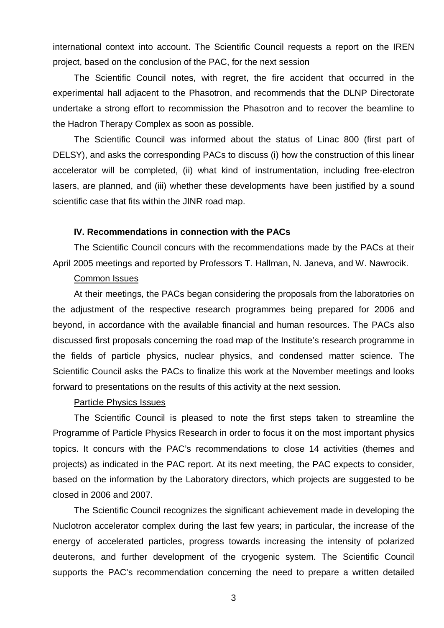international context into account. The Scientific Council requests a report on the IREN project, based on the conclusion of the PAC, for the next session

The Scientific Council notes, with regret, the fire accident that occurred in the experimental hall adjacent to the Phasotron, and recommends that the DLNP Directorate undertake a strong effort to recommission the Phasotron and to recover the beamline to the Hadron Therapy Complex as soon as possible.

The Scientific Council was informed about the status of Linac 800 (first part of DELSY), and asks the corresponding PACs to discuss (i) how the construction of this linear accelerator will be completed, (ii) what kind of instrumentation, including free-electron lasers, are planned, and (iii) whether these developments have been justified by a sound scientific case that fits within the JINR road map.

# **IV. Recommendations in connection with the PACs**

The Scientific Council concurs with the recommendations made by the PACs at their April 2005 meetings and reported by Professors T. Hallman, N. Janeva, and W. Nawrocik.

#### Common Issues

At their meetings, the PACs began considering the proposals from the laboratories on the adjustment of the respective research programmes being prepared for 2006 and beyond, in accordance with the available financial and human resources. The PACs also discussed first proposals concerning the road map of the Institute's research programme in the fields of particle physics, nuclear physics, and condensed matter science. The Scientific Council asks the PACs to finalize this work at the November meetings and looks forward to presentations on the results of this activity at the next session.

# Particle Physics Issues

The Scientific Council is pleased to note the first steps taken to streamline the Programme of Particle Physics Research in order to focus it on the most important physics topics. It concurs with the PAC's recommendations to close 14 activities (themes and projects) as indicated in the PAC report. At its next meeting, the PAC expects to consider, based on the information by the Laboratory directors, which projects are suggested to be closed in 2006 and 2007.

The Scientific Council recognizes the significant achievement made in developing the Nuclotron accelerator complex during the last few years; in particular, the increase of the energy of accelerated particles, progress towards increasing the intensity of polarized deuterons, and further development of the cryogenic system. The Scientific Council supports the PAC's recommendation concerning the need to prepare a written detailed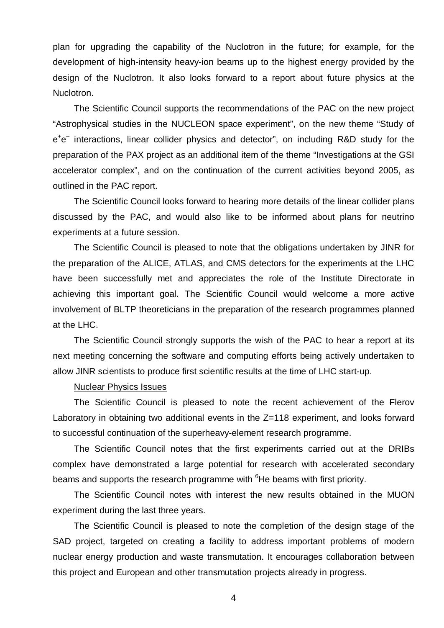plan for upgrading the capability of the Nuclotron in the future; for example, for the development of high-intensity heavy-ion beams up to the highest energy provided by the design of the Nuclotron. It also looks forward to a report about future physics at the Nuclotron.

The Scientific Council supports the recommendations of the PAC on the new project "Astrophysical studies in the NUCLEON space experiment", on the new theme "Study of e<sup>+</sup>e<sup>-</sup> interactions, linear collider physics and detector", on including R&D study for the preparation of the PAX project as an additional item of the theme "Investigations at the GSI accelerator complex", and on the continuation of the current activities beyond 2005, as outlined in the PAC report.

The Scientific Council looks forward to hearing more details of the linear collider plans discussed by the PAC, and would also like to be informed about plans for neutrino experiments at a future session.

The Scientific Council is pleased to note that the obligations undertaken by JINR for the preparation of the ALICE, ATLAS, and CMS detectors for the experiments at the LHC have been successfully met and appreciates the role of the Institute Directorate in achieving this important goal. The Scientific Council would welcome a more active involvement of BLTP theoreticians in the preparation of the research programmes planned at the LHC.

The Scientific Council strongly supports the wish of the PAC to hear a report at its next meeting concerning the software and computing efforts being actively undertaken to allow JINR scientists to produce first scientific results at the time of LHC start-up.

#### Nuclear Physics Issues

The Scientific Council is pleased to note the recent achievement of the Flerov Laboratory in obtaining two additional events in the Z=118 experiment, and looks forward to successful continuation of the superheavy-element research programme.

The Scientific Council notes that the first experiments carried out at the DRIBs complex have demonstrated a large potential for research with accelerated secondary beams and supports the research programme with <sup>6</sup>He beams with first priority.

The Scientific Council notes with interest the new results obtained in the MUON experiment during the last three years.

The Scientific Council is pleased to note the completion of the design stage of the SAD project, targeted on creating a facility to address important problems of modern nuclear energy production and waste transmutation. It encourages collaboration between this project and European and other transmutation projects already in progress.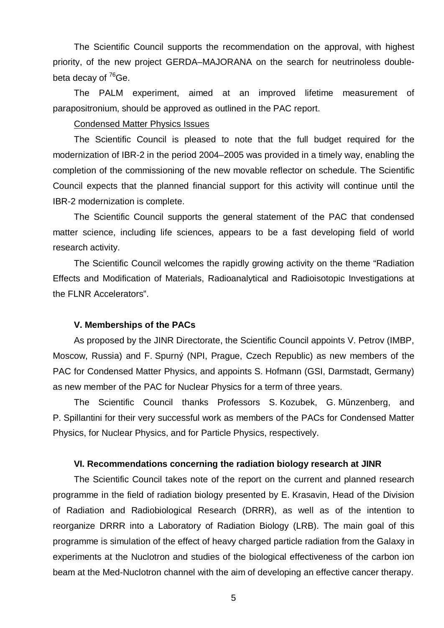The Scientific Council supports the recommendation on the approval, with highest priority, of the new project GERDA–MAJORANA on the search for neutrinoless doublebeta decay of  $76$ Ge.

The PALM experiment, aimed at an improved lifetime measurement of parapositronium, should be approved as outlined in the PAC report.

#### Condensed Matter Physics Issues

The Scientific Council is pleased to note that the full budget required for the modernization of IBR-2 in the period 2004–2005 was provided in a timely way, enabling the completion of the commissioning of the new movable reflector on schedule. The Scientific Council expects that the planned financial support for this activity will continue until the IBR-2 modernization is complete.

The Scientific Council supports the general statement of the PAC that condensed matter science, including life sciences, appears to be a fast developing field of world research activity.

The Scientific Council welcomes the rapidly growing activity on the theme "Radiation Effects and Modification of Materials, Radioanalytical and Radioisotopic Investigations at the FLNR Accelerators".

#### **V. Memberships of the PACs**

As proposed by the JINR Directorate, the Scientific Council appoints V. Petrov (IMBP, Moscow, Russia) and F. Spurný (NPI, Prague, Czech Republic) as new members of the PAC for Condensed Matter Physics, and appoints S. Hofmann (GSI, Darmstadt, Germany) as new member of the PAC for Nuclear Physics for a term of three years.

The Scientific Council thanks Professors S. Kozubek, G. Münzenberg, and P. Spillantini for their very successful work as members of the PACs for Condensed Matter Physics, for Nuclear Physics, and for Particle Physics, respectively.

# **VI. Recommendations concerning the radiation biology research at JINR**

The Scientific Council takes note of the report on the current and planned research programme in the field of radiation biology presented by E. Krasavin, Head of the Division of Radiation and Radiobiological Research (DRRR), as well as of the intention to reorganize DRRR into a Laboratory of Radiation Biology (LRB). The main goal of this programme is simulation of the effect of heavy charged particle radiation from the Galaxy in experiments at the Nuclotron and studies of the biological effectiveness of the carbon ion beam at the Med-Nuclotron channel with the aim of developing an effective cancer therapy.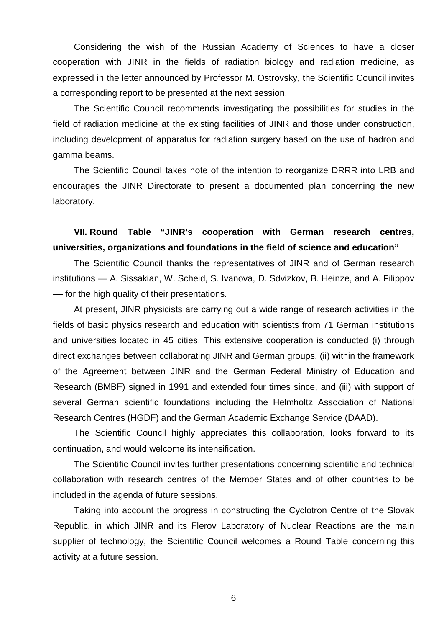Considering the wish of the Russian Academy of Sciences to have a closer cooperation with JINR in the fields of radiation biology and radiation medicine, as expressed in the letter announced by Professor M. Ostrovsky, the Scientific Council invites a corresponding report to be presented at the next session.

The Scientific Council recommends investigating the possibilities for studies in the field of radiation medicine at the existing facilities of JINR and those under construction, including development of apparatus for radiation surgery based on the use of hadron and gamma beams.

The Scientific Council takes note of the intention to reorganize DRRR into LRB and encourages the JINR Directorate to present a documented plan concerning the new laboratory.

# **VII. Round Table "JINR's cooperation with German research centres, universities, organizations and foundations in the field of science and education"**

The Scientific Council thanks the representatives of JINR and of German research institutions — A. Sissakian, W. Scheid, S. Ivanova, D. Sdvizkov, B. Heinze, and A. Filippov –– for the high quality of their presentations.

At present, JINR physicists are carrying out a wide range of research activities in the fields of basic physics research and education with scientists from 71 German institutions and universities located in 45 cities. This extensive cooperation is conducted (i) through direct exchanges between collaborating JINR and German groups, (ii) within the framework of the Agreement between JINR and the German Federal Ministry of Education and Research (BMBF) signed in 1991 and extended four times since, and (iii) with support of several German scientific foundations including the Helmholtz Association of National Research Centres (HGDF) and the German Academic Exchange Service (DAAD).

The Scientific Council highly appreciates this collaboration, looks forward to its continuation, and would welcome its intensification.

The Scientific Council invites further presentations concerning scientific and technical collaboration with research centres of the Member States and of other countries to be included in the agenda of future sessions.

Taking into account the progress in constructing the Cyclotron Centre of the Slovak Republic, in which JINR and its Flerov Laboratory of Nuclear Reactions are the main supplier of technology, the Scientific Council welcomes a Round Table concerning this activity at a future session.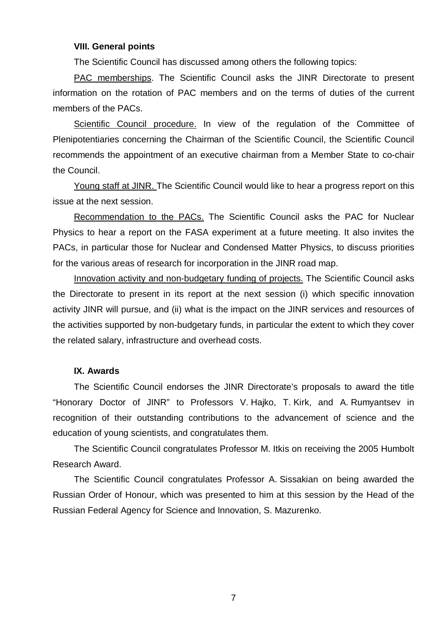#### **VIII. General points**

The Scientific Council has discussed among others the following topics:

PAC memberships. The Scientific Council asks the JINR Directorate to present information on the rotation of PAC members and on the terms of duties of the current members of the PACs.

Scientific Council procedure. In view of the regulation of the Committee of Plenipotentiaries concerning the Chairman of the Scientific Council, the Scientific Council recommends the appointment of an executive chairman from a Member State to co-chair the Council.

Young staff at JINR. The Scientific Council would like to hear a progress report on this issue at the next session.

Recommendation to the PACs. The Scientific Council asks the PAC for Nuclear Physics to hear a report on the FASA experiment at a future meeting. It also invites the PACs, in particular those for Nuclear and Condensed Matter Physics, to discuss priorities for the various areas of research for incorporation in the JINR road map.

Innovation activity and non-budgetary funding of projects. The Scientific Council asks the Directorate to present in its report at the next session (i) which specific innovation activity JINR will pursue, and (ii) what is the impact on the JINR services and resources of the activities supported by non-budgetary funds, in particular the extent to which they cover the related salary, infrastructure and overhead costs.

# **IX. Awards**

The Scientific Council endorses the JINR Directorate's proposals to award the title "Honorary Doctor of JINR" to Professors V. Hajko, T. Kirk, and A. Rumyantsev in recognition of their outstanding contributions to the advancement of science and the education of young scientists, and congratulates them.

The Scientific Council congratulates Professor M. Itkis on receiving the 2005 Humbolt Research Award.

The Scientific Council congratulates Professor A. Sissakian on being awarded the Russian Order of Honour, which was presented to him at this session by the Head of the Russian Federal Agency for Science and Innovation, S. Mazurenko.